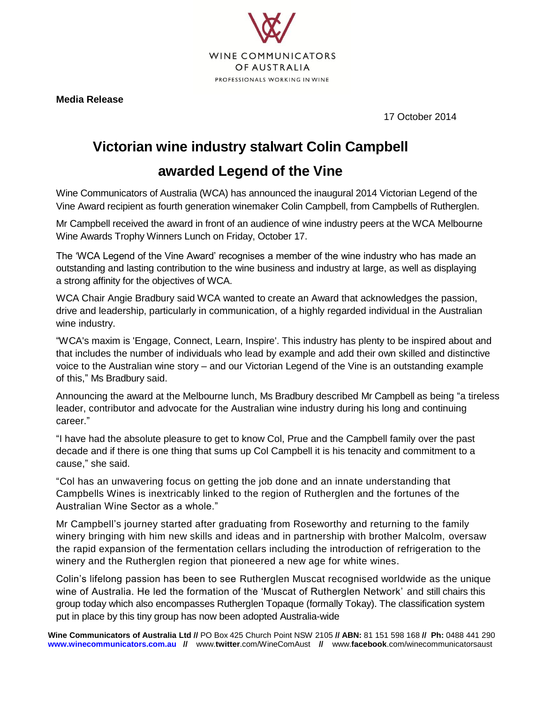

**Media Release**

17 October 2014

## **Victorian wine industry stalwart Colin Campbell**

## **awarded Legend of the Vine**

Wine Communicators of Australia (WCA) has announced the inaugural 2014 Victorian Legend of the Vine Award recipient as fourth generation winemaker Colin Campbell, from Campbells of Rutherglen.

Mr Campbell received the award in front of an audience of wine industry peers at the WCA Melbourne Wine Awards Trophy Winners Lunch on Friday, October 17.

The 'WCA Legend of the Vine Award' recognises a member of the wine industry who has made an outstanding and lasting contribution to the wine business and industry at large, as well as displaying a strong affinity for the objectives of WCA.

WCA Chair Angie Bradbury said WCA wanted to create an Award that acknowledges the passion, drive and leadership, particularly in communication, of a highly regarded individual in the Australian wine industry.

"WCA's maxim is 'Engage, Connect, Learn, Inspire'. This industry has plenty to be inspired about and that includes the number of individuals who lead by example and add their own skilled and distinctive voice to the Australian wine story – and our Victorian Legend of the Vine is an outstanding example of this," Ms Bradbury said.

Announcing the award at the Melbourne lunch, Ms Bradbury described Mr Campbell as being "a tireless leader, contributor and advocate for the Australian wine industry during his long and continuing career."

"I have had the absolute pleasure to get to know Col, Prue and the Campbell family over the past decade and if there is one thing that sums up Col Campbell it is his tenacity and commitment to a cause," she said.

"Col has an unwavering focus on getting the job done and an innate understanding that Campbells Wines is inextricably linked to the region of Rutherglen and the fortunes of the Australian Wine Sector as a whole."

Mr Campbell's journey started after graduating from Roseworthy and returning to the family winery bringing with him new skills and ideas and in partnership with brother Malcolm, oversaw the rapid expansion of the fermentation cellars including the introduction of refrigeration to the winery and the Rutherglen region that pioneered a new age for white wines.

Colin's lifelong passion has been to see Rutherglen Muscat recognised worldwide as the unique wine of Australia. He led the formation of the 'Muscat of Rutherglen Network' and still chairs this group today which also encompasses Rutherglen Topaque (formally Tokay). The classification system put in place by this tiny group has now been adopted Australia-wide

**Wine Communicators of Australia Ltd //** PO Box 425 Church Point NSW 2105 **// ABN:** 81 151 598 168 **// Ph:** 0488 441 290 **[www.winecommunicators.com.au /](http://www.winecommunicators.com.au/)/** www.**twitter**[.com/WineComAust](http://www.twitter.com/WineComAust) **//** www.**facebook**[.com/winecommunicatorsaust](http://www.facebook.com/winecommunicatorsaust)